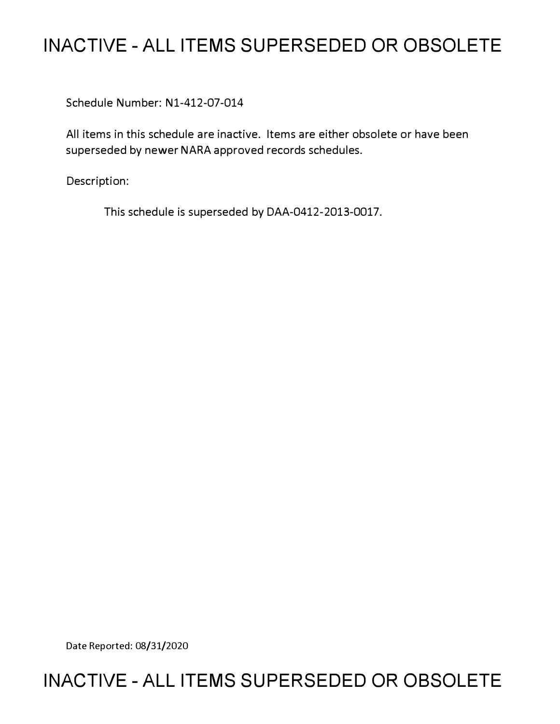# **INACTIVE - ALL ITEMS SUPERSEDED OR OBSOLETE**

Schedule Number: Nl-412-07-014

All items in this schedule are inactive. Items are either obsolete or have been superseded by newer NARA approved records schedules.

Description:

This schedule is superseded by DAA-0412-2013-0017.

Date Reported: 08/31/2020

# **INACTIVE - ALL ITEMS SUPERSEDED OR OBSOLETE**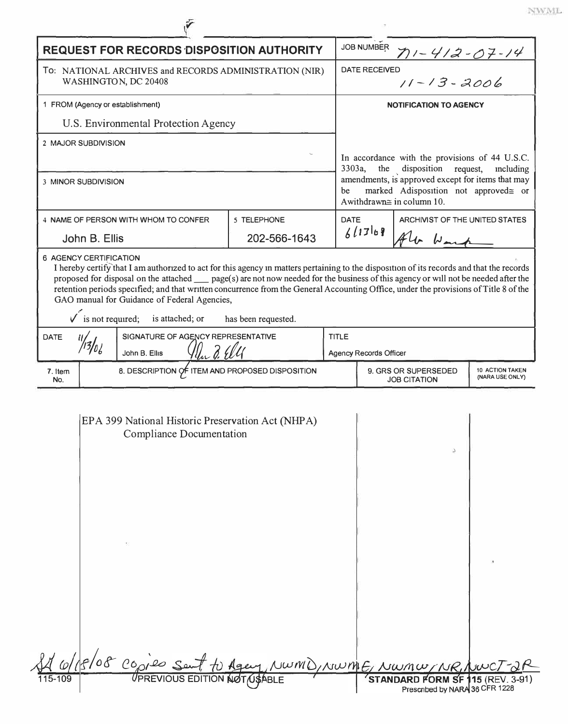|                                                                                                                                                                           | <b>REQUEST FOR RECORDS DISPOSITION AUTHORITY</b>                                     |                                                |              |                                                                                                                               |                                             | $71 - 412 - 07 - 14$               |  |
|---------------------------------------------------------------------------------------------------------------------------------------------------------------------------|--------------------------------------------------------------------------------------|------------------------------------------------|--------------|-------------------------------------------------------------------------------------------------------------------------------|---------------------------------------------|------------------------------------|--|
| To: NATIONAL ARCHIVES and RECORDS ADMINISTRATION (NIR)<br>WASHINGTON, DC 20408                                                                                            |                                                                                      |                                                |              | <b>DATE RECEIVED</b><br>$11 - 13 - 2006$                                                                                      |                                             |                                    |  |
| 1 FROM (Agency or establishment)                                                                                                                                          |                                                                                      |                                                |              | <b>NOTIFICATION TO AGENCY</b>                                                                                                 |                                             |                                    |  |
|                                                                                                                                                                           | U.S. Environmental Protection Agency                                                 |                                                |              |                                                                                                                               |                                             |                                    |  |
| 2 MAJOR SUBDIVISION                                                                                                                                                       |                                                                                      |                                                |              |                                                                                                                               |                                             |                                    |  |
|                                                                                                                                                                           |                                                                                      |                                                |              | In accordance with the provisions of 44 U.S.C.<br>the disposition request,<br>3303a,<br>including                             |                                             |                                    |  |
| 3 MINOR SUBDIVISION                                                                                                                                                       |                                                                                      |                                                | be           | amendments, is approved except for items that may<br>marked Adisposition not approved= or<br>Awithdrawn $\cong$ in column 10. |                                             |                                    |  |
| 4 NAME OF PERSON WITH WHOM TO CONFER                                                                                                                                      |                                                                                      | 5 TELEPHONE                                    | <b>DATE</b>  |                                                                                                                               | ARCHIVIST OF THE UNITED STATES              |                                    |  |
| John B. Ellis                                                                                                                                                             |                                                                                      | 202-566-1643                                   |              | 61769                                                                                                                         | fler Wars                                   |                                    |  |
| GAO manual for Guidance of Federal Agencies,<br>$\checkmark$ is not required; is attached; or<br>has been requested.<br>SIGNATURE OF AGENCY REPRESENTATIVE<br><b>DATE</b> |                                                                                      |                                                | <b>TITLE</b> |                                                                                                                               |                                             |                                    |  |
|                                                                                                                                                                           |                                                                                      |                                                |              |                                                                                                                               |                                             |                                    |  |
|                                                                                                                                                                           | John B. Ellis                                                                        |                                                |              | <b>Agency Records Officer</b>                                                                                                 |                                             |                                    |  |
| 7. Item<br>No.                                                                                                                                                            | 8. DESCRIPTION OF ITEM AND PROPOSED DISPOSITION                                      |                                                |              |                                                                                                                               | 9. GRS OR SUPERSEDED<br><b>JOB CITATION</b> | 10 ACTION TAKEN<br>(NARA USE ONLY) |  |
|                                                                                                                                                                           | EPA 399 National Historic Preservation Act (NHPA)<br><b>Compliance Documentation</b> |                                                |              |                                                                                                                               | Δ                                           |                                    |  |
|                                                                                                                                                                           |                                                                                      |                                                |              |                                                                                                                               |                                             |                                    |  |
| 115-109                                                                                                                                                                   | 8/08 copies ser                                                                      | Opies Sent to Agen, NWMD, NWME, NWMW, NR, NWC) |              |                                                                                                                               | STANDARD FORM SF 115 (REV. 3-91)            |                                    |  |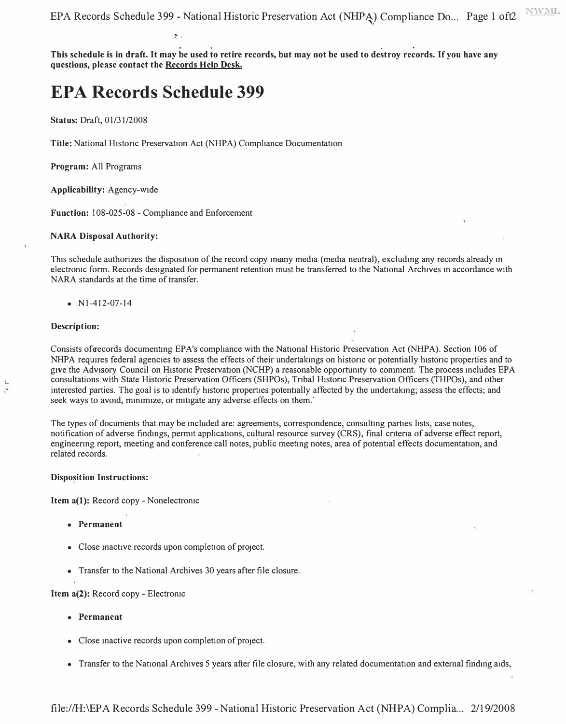. . . **This schedule is in draft.** It **may be used to retire records, but may not be used to destroy records.** If**you have any**  questions, please contact the **Records Help Desk.** 

## **EPA Records Schedule 399**

**Status:** Draft, 01/31/2008

Title: National Historic Preservation Act (NHPA) Compliance Documentation

**Program:** All Programs

**Applicability:** Agency-wide

**Function:** I 08-025-08 - Compliance and Enforcement

#### **NARA Disposal Authority:**

This schedule authorizes the disposition of the record copy in may media (media neutral), excluding any records already in electronic form. Records designated for permanent retention must be transferred to the National Archives in accordance with NARA standards at the time of transfer.

•  $N1-412-07-14$ 

#### **Description:**

 $\ddot{i}$ 

Consists of records documenting EPA's compliance with the National Historic Preservation Act (NHPA). Section 106 of NHPA requires federal agencies to assess the effects of their undertakings on historic or potentially historic properties and to give the Advisory Council on Historic Preservation (NCHP) a reasonable opportunity to comment. The process includes EPA consultations with State Historic Preservation Officers (SHPOs), Tnbal Histonc Preservation Officers (THPOs), and other interested parties. The goal is to identify historic properties potentially affected by the undertaking; assess the effects; and seek ways to avoid, minimize, or mitigate any adverse effects on them.

The types of documents that may be mcluded are: agreements, correspondence, consultmg parties hsts, case notes, notification of adverse findings, permit applications, cultural resource survey (CRS), final criteria of adverse effect report, engineermg report, meeting and conference call notes, public meetmg notes, area of potential effects documentation, and related records.

#### **Dispo�ition Instructions:**

**Item a(l):** Record copy - Nonelectromc

- **Permanent**
- Close inactive records upon completion of project.
- Transfer to the National Archives 30 years after file closure.

**Item a(2):** Record copy - Electromc

- **Permanent**
- Close inactive records upon completion of project.
- Transfer to the National Archives 5 years after file closure, with any related documentation and external findmg aids,